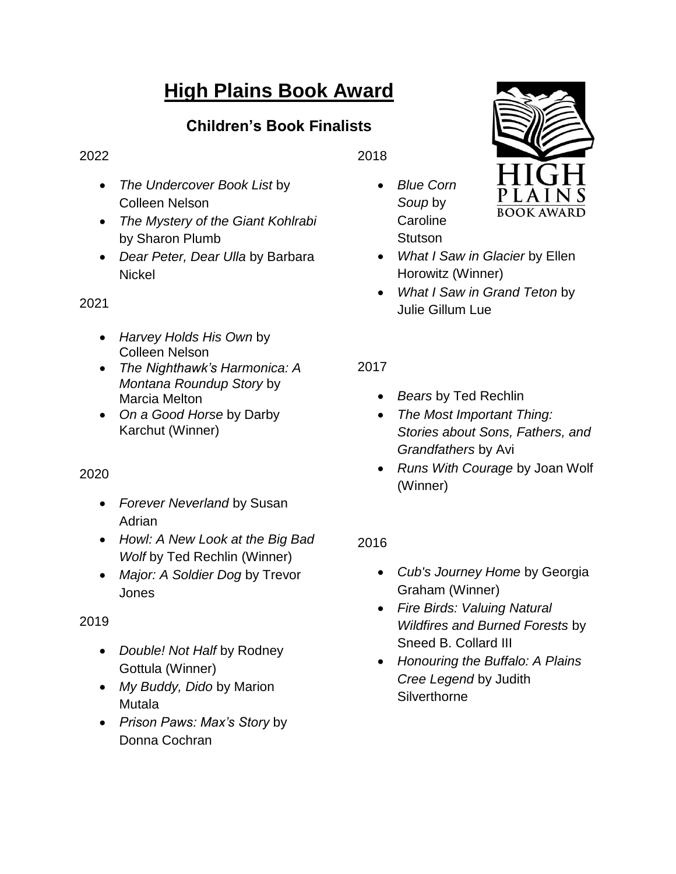# **High Plains Book Award**

# **Children's Book Finalists**

#### 2022

- *The Undercover Book List* by Colleen Nelson
- *The Mystery of the Giant Kohlrabi*  by Sharon Plumb
- *Dear Peter, Dear Ulla* by Barbara **Nickel**

#### 2021

- *Harvey Holds His Own* by Colleen Nelson
- *The Nighthawk's Harmonica: A Montana Roundup Story* by Marcia Melton
- *On a Good Horse* by Darby Karchut (Winner)

## 2020

- *Forever Neverland* by Susan **Adrian**
- *Howl: A New Look at the Big Bad Wolf by Ted Rechlin (Winner)*
- *Major: A Soldier Dog* by Trevor Jones

## 2019

- *Double! Not Half* by Rodney Gottula (Winner)
- *My Buddy, Dido* by Marion Mutala
- *Prison Paws: Max's Story* by Donna Cochran

2018

 *Blue Corn Soup* by **Caroline Stutson** 



- *What I Saw in Glacier* by Ellen Horowitz (Winner)
- *What I Saw in Grand Teton* by Julie Gillum Lue

2017

- *Bears* by Ted Rechlin
- *The Most Important Thing: Stories about Sons, Fathers, and Grandfathers* by Avi
- *Runs With Courage* by Joan Wolf (Winner)

# 2016

- *Cub's Journey Home* by Georgia Graham (Winner)
- *Fire Birds: Valuing Natural Wildfires and Burned Forests* by Sneed B. Collard III
- *Honouring the Buffalo: A Plains Cree Legend* by Judith **Silverthorne**